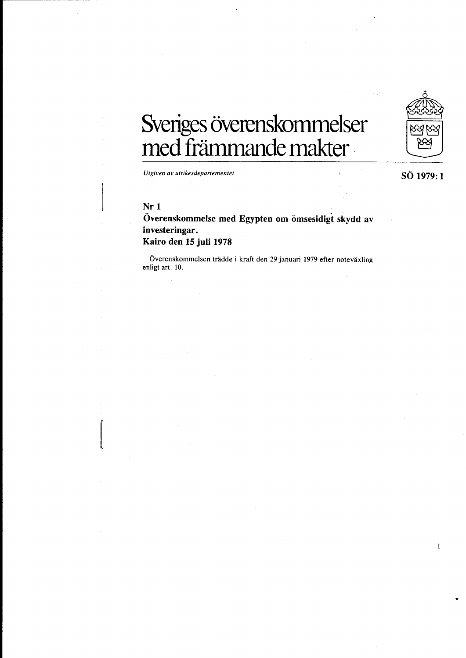

1

# **Sveriges overenskommelser**  med främmande makter .

*Utgiven av utrikesdepartementet* 

# **Nr 1**

 $\begin{bmatrix} \phantom{-} & \phantom{-} \\ \phantom{-} & \phantom{-} \\ \phantom{-} & \phantom{-} \end{bmatrix}$ 

# Överenskommelse med Egypten om ömsesidigt skydd av **investeringar. Kairo den 15 juli 1978**

Överenskommelsen trädde i kraft den 29 januari 1979 efter noteväxling enligt art. 10.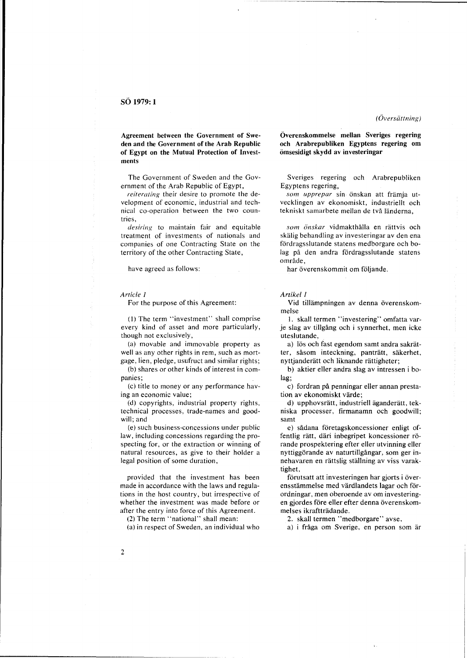Agreement between the Government of Sweden and the Government of the Arab Republic of Egypt on the Mutual Protection of Investments

The Government of Sweden and the Government of the Arab Republic of Egypt,

*reiterating* their desire to promote the development of economic, industrial and technical co-operation between the two countries,

*desiring* to maintain fair and equitable treatment of investments of nationals and companies of one Contracting State on the territory of the other Contracting State,

have agreed as follows:

*Article* 1

For the purpose of this Agreement:

(I) The term "investment" shall comprise every kind of asset and more particularly, though not exclusively,

(a) movable and immovable property as well as any other rights in rem, such as mort-

gage, lien, pledge, usufruct and similar rights; (b) shares or other kinds of interest in companies;

(c) title to money or any performance having an economic value;

(d) copyrights, industrial property rights, technical processes, trade-names and goodwill; and

(e) such business-concessions under public law, including concessions regarding the prospecting for, or the extraction or winning of natural resources, as give to their holder a legal position of some duration,

provided that the investment has been made in accordance with the laws and regulations in the host country, but irrespective of whether the investment was made before or after the entry into force of this Agreement.

(2) The term "national" shall mean:

(a) in respect of Sweden, an individual who

Overenskommelse mellan Sveriges regering och Arabrepubliken Egyptens regering om omsesidigt skydd av investeringar

Sveriges regering och Arabrepubliken Egyptens regering,

*sam upprepar* sin onskan at! framja utvecklingen av ekonomiskt, industriellt och tekniskt samarbete mellan de två länderna,

som önskar vidmakthålla en rättvis och skalig behandling av investeringar av den ena fordragsslutande statens medborgare och bolag på den andra fördragsslutande statens område.

har överenskommit om följande.

#### *Artikel 1*

Vid tillämpningen av denna överenskommelse

1. skall termen "investering" omfatta varje slag av tillgang och i synnerhet, men icke uteslutande,

a) lös och fast egendom samt andra sakrätter, såsom inteckning, panträtt, säkerhet, nyttjanderätt och liknande rättigheter;

b) aktier eller andra slag av intressen i bolag;

c) fordran på penningar eller annan prestation av ekonomiskt yarde;

d) upphovsrätt, industriell äganderätt, tekniska processer, firmanamn och goodwill; samt

e) sadana foretagskoncessioner enligt offentlig ratt, dari inbegripet koncessioner rorande prospektering efter eller utvinning eller nyttiggorande av naturtillgangar, som ger innehavaren en rattslig stallning av viss varaktighet,

förutsatt att investeringen har gjorts i överensstämmelse med värdlandets lagar och förordningar, men oberoende av om investeringen gjordes före eller efter denna överenskommelses ikraftträdande.

2. skall termen "medborgare" avse,

a) i fråga om Sverige, en person som är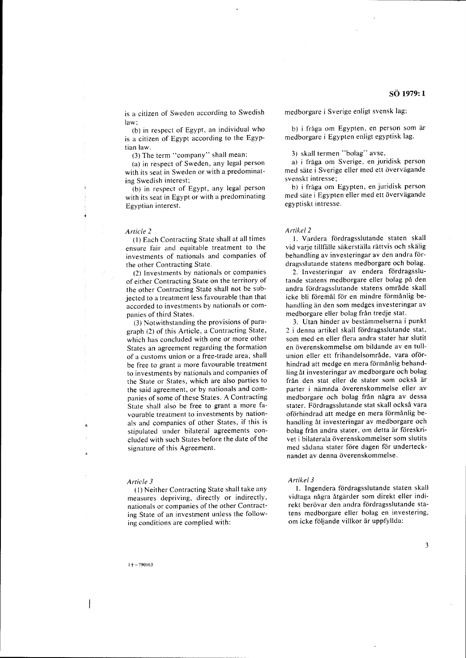is a citizen of Sweden according to Swedish law;

(b) in respect of Egypt, an individual who is a citizen of Egypt according to the Egyptian law.

(3) The term "company" shall mean:

(a) in respect of Sweden, any legal person with its seat in Sweden or with a predominating Swedish interest;

(b) in respect of Egypt, any legal person with its seat in Egypt or with a predominating Egyptian interest.

#### *Article 2*

(1) Each Contracting State shall at all times ensure fair and equitable treatment to the investments of nationals and companies of the other Contracting State.

(2) Investments by nationals or companies of either Contracting State on the territory of the other Contracting State shall not be subjected to a treatment less favourable than that accorded to investments by nationals or companies of third States.

(3) Notwithstanding the provisions of paragraph (2) of this Article, a Contracting State, which has concluded with one or more other States an agreement regarding the formation of a customs union or a free-trade area, shall be free to grant a more favourable treatment to investments by nationals and companies of the State or States, which are also parties to the said agreement, or by nationals and companies of some of these States. A Contracting State shall also be free to grant a more favourable treatment to investments by nationals and companies of other States, if this is stipulated under bilateral agreements concluded with such States before the date of the signature of this Agreement.

#### *Article 3*

(1) Neither Contracting State shall take any measures depriving, directly or indirectly, nationals or companies of the other Contracting State of an investment unless the following conditions are complied with:

medborgare i Sverige enligt svensk lag;

b) i fråga om Egypten, en person som är medborgare i Egypten enligt egyptisk lag.

3) skall termen "bolag" avse,

a) i fråga om Sverige, en juridisk person med säte i Sverige eller med ett övervägande svenskt intresse;

b) i fraga om Egypten, en juridisk person med säte i Egypten eller med ett övervägande egyptiskt intresse.

#### *Artikel2*

1. Vardera fördragsslutande staten skall vid varje tillfälle säkerställa rättvis och skälig behandling av investeringar av den andra fördragsslutande statens medborgare och bolag.

2. Investeringar av endera fördragsslutande statens medborgare eller bolag på den andra fördragsslutande statens område skall icke bli föremål för en mindre förmånlig behandling än den som medges investeringar av medborgare eller bolag från tredje stat.

3. Utan hinder av bestammelserna i punkt 2 i denna artikel skall fördragsslutande stat, som med en eller flera andra stater har slutit en överenskommelse om bildande av en tullunion eller ett frihandelsområde, vara oförhindrad att medge en mera förmånlig behandling at investeringar av medborgare och bolag fran den stat eller de stater som ocksa ar parter i nämnda överenskommelse eller av medborgare och bolag från några av dessa stater. Fördragsslutande stat skall också vara oförhindrad att medge en mera förmånlig behandling at investeringar av medborgare och bolag från andra stater, om detta är föreskrivet i bilaterala överenskommelser som slutits med sådana stater före dagen för undertecknandet av denna överenskommelse.

#### *Artikel3*

1. Ingendera fördragsslutande staten skall vidtaga några åtgärder som direkt eller indirekt berövar den andra fördragsslutande statens medborgare eller bolag en investering, om icke följande villkor är uppfyllda: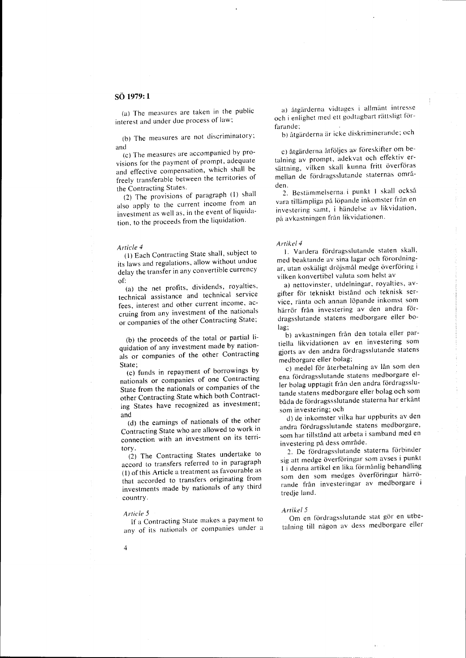(a) The measures are taken in the public interest and under due process of law;

(b) The measures are not discriminatory; and

(c) The measures are accompanied by provisions for the payment of prompt, adequate and effective compensation, which shall be freely transferable between the territories of the Contracting States.

(2) The provisions of paragraph (I) shall also apply to the current income from an investment as well as, in the event of liquidation, to the proceeds from the liquidation.

#### *Article 4*

(I) Each Contracting State shall, subject to its laws and regulations, allow without undue delay the transfer in any convertible currency of:

(a) the net profits, dividends, royalties, technical assistance and technical service fees, interest and other current income, accruing from any investment of the nationals or companies of the other Contracting State;

(b) the proceeds of the total or partial liquidation of any investment made by nationals or companies of the other Contracting State;

(c) funds in repayment of borrowings by nationals or companies of one Contracting State from the nationals or companies of the other Contracting State which both Contracting States have recognized as investment; and

(d) the earnings of nationals of the other Contracting State who are allowed to work in connection with an investment on its territory.

(2) The Contracting States undertake to accord to transfers referred to in paragraph (I) of this Article a treatment as favourable as that accorded to transfers originating from investments made by nationals of any third country.

# *Article 5*

4

If a Contracting State makes a payment to any of its nationals or companies under a

a) åtgärderna vidtages i allmänt intresse och i enlighet med ett godtagbart rättsligt förfarande;

b) åtgärderna är icke diskriminerande; och

c) åtgärderna åtföljes av föreskifter om betalning av prompt, adekvat och effektiv ersättning, vilken skall kunna fritt överföras mellan de fördragsslutande staternas områden.

2. Bestämmelserna i punkt 1 skall också vara tillämpliga på löpande inkomster från en investering samt, i handelse av likvidation, på avkastningen från likvidationen.

#### *Artikel4*

1. Vardera fördragsslutande staten skall, med beaktande av sina lagar och förordningar, utan oskäligt dröjsmål medge överföring i vilken konvertibel valuta som helst av

a) nettovinster, utdelningar, royalties, avgifter för tekniskt bistånd och teknisk service, ränta och annan löpande inkomst som härrör från investering av den andra fördragsslutande statens medborgare eller bolag;

b) avkastningen från den totala eller partiella Iikvidationen av en investering som gjorts av den andra fördragsslutande statens medborgare eller bolag;

c) medel för återbetalning av lån som den ena fördragsslutande statens medborgare eller bolag upptagit från den andra fördragsslutande statens medborgare eller bolag och som båda de fördragssslutande staterna har erkänt som investering; och

d) de inkomster vilka har uppburits av den andra fördragsslutande statens medborgare, som har tillstånd att arbeta i samband med en investering pa dess omrade.

2. De fördragsslutande staterna förbinder sig att medge överföringar som avses i punkt I i denna artikel en lika förmånlig behandling som den som medges överföringar härrörande fran investeringar av medborgare i tredje land.

#### *Artikel5*

Om en fördragsslutande stat gör en utbetalning till någon av dess medborgare eller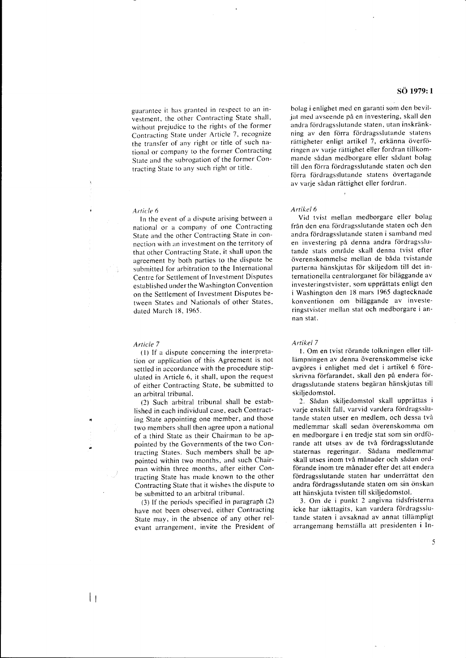guarantee it has granted in respect to an investment, the other Contracting State shall, without prejudice to the rights of the former Contracting State under Article 7, recognize the transfer of any right or title of such national or company to the former Contracting State and the subrogation of the former Contracting State to any such right or title.

#### *Article 6*

In the event of a dispute arising between a national or a company of one Contracting State and the other Contracting State in connection with an investment on the territory of that other Contracting State, it shall upon the agreement by both parties to the dispute be submitted for arbitration to the International Centre for Settlement of Investment Disputes established under the Washington Convention on the Settlement of Investment Disputes between States and Nationals of other States, dated March 18, 1965.

#### *Article 7*

 $\mathbf{I}$ 

(I) If a dispute concerning the interpretation or application of this Agreement is not settled in accordance with the procedure stipulated in Article 6, it shall, upon the request of either Contracting State, be submitted to an arbitral tribunal.

(2) Such arbitral tribunal shall be established in each individual case, each Contracting State appointing one member, and those two members shall then agree upon a national of a third State as their Chairman to be appointed by the Governments of the two Contracting States. Such members shall be appointed within two months, and such Chairman within three months, after either Contracting State has made known to the other Contracting State that it wishes the dispute to be submitted to an arbitral tribunal.

(3) If the periods specified in paragraph (2) have not been observed, either Contracting State may, in the absence of any other relevant arrangement, invite the President of

# **s6 1979: 1**

bolag i enlighet med en garanti som den beviljat med avseende på en investering, skall den andra fordragsslutande staten, utan inskrankning av den förra fördragsslutande statens rättigheter enligt artikel 7, erkänna överföringen av varje rattighet eller fordran tillkommande sådan medborgare eller sådant bolag till den förra fördragsslutande staten och den förra fördragsslutande statens övertagande av varje sådan rättighet eller fordran.

## *Artikel6*

Vid tvist mellan medborgare eller bolag från den ena fördragsslutande staten och den andra fördragsslutande staten i samband med en investering på denna andra fördragsslutande stats omrade skall denna tvist efter överenskommelse mellan de båda tvistande parterna hänskjutas för skiljedom till det internationella centralorganet för biläggande av investeringstvister, som upprattats enligt den i Washington den 18 mars 1965 dagtecknade konventionen om bilaggande av investeringstvister mellan stat och medborgare i annan stat.

#### *Artikel 7*

1. Om en tvist rörande tolkningen eller tilllämpningen av denna överenskommelse icke avgöres i enlighet med det i artikel 6 föreskrivna förfarandet, skall den på endera fördragsslutande statens begaran hanskjutas till skiljedomstol.

2. Sadan skiljedomstol skall upprattas i varje enskilt fall, varvid vardera fördragsslutande staten utser en medlem, och dessa två medlemmar skall sedan överenskomma om en medborgare i en tredje stat som sin ordförande att utses av de tva fordragsslutande staternas regeringar. Sadana medlemmar skall utses inom två månader och sådan ordförande inom tre månader efter det att endera fördragsslutande staten har underrättat den andra fördragsslutande staten om sin önskan att hanskjuta tvisten till skiljedomstol.

3. Om de i punkt 2 angivna tidsfristerna icke har iakttagits, kan vardera fördragsslutande staten i avsaknad av annat tillampligt arrangemang hemställa att presidenten i In-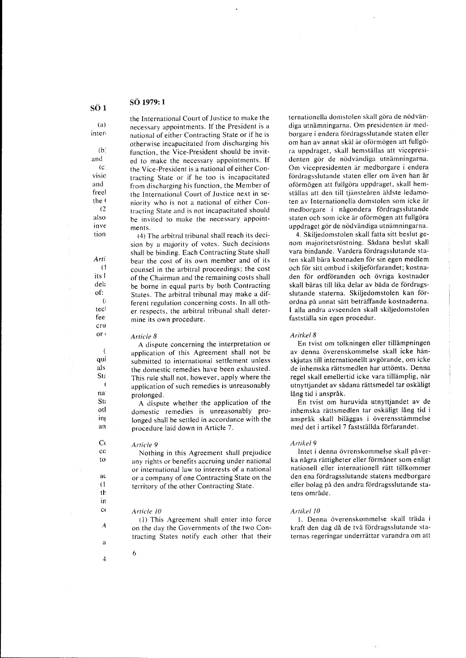(a) inter<

 $(h)$ and  $(c)$ visio and freel the  $($  $(2)$ also inve tion

> *Arti*  (1 its I dela of: (: tec! fee cru or  $\epsilon$

> > qui als **Sta**

> > > na<sup>-</sup> St; otl in! an

 $\overline{\mathbf{1}}$ 

C( co to

> ac (1 th in c(

> > A

a

4

the International Court of Justice to make the necessary appointments. If the President is a national of either Contracting State or if he is otherwise incapacitated from discharging his function, the Vice-President should be invited to make the necessary appointments. If the Vice-President is a national of either Contracting State or if he too is incapacitated from discharging his function, the Member of the International Court of Justice next in seniority who is not a national of either Contracting State and is not incapacitated should be invited to make the necessary appointments.

(4) The arbitral tribunal shall reach its decision by a majority of votes. Such decisions shall be binding. Each Contracting State shall bear the cost of its own member and of its counsel in the arbitral proceedings; the cost of the Chairman and the remaining costs shall be borne in equal parts by both Contracting States. The arbitral tribunal may make a different regulation concerning costs. In all other respects, the arbitral tribunal shall determine its own procedure.

## *Article 8*

A dispute concerning the interpretation or application of this Agreement shall not be submitted to international settlement unless the domestic remedies have been exhausted. This rule shall not, however, apply where the application of such remedies is unreasonably prolonged.

A dispute whether the application of the domestic remedies is unreasonably prolonged shall be settled in accordance with the procedure laid down in Article 7.

## *Article 9*

Nothing in this Agreement shall prejudice any rights or benefits accruing under national or international law to interests of a national or a company of one Contracting State on the territory of the other Contracting State.

#### *Article IO*

6

(1) This Agreement shall enter into force on the day the Governments of the two Contracting States notify each other that their ternationella domstolen skall göra de nödvändiga utnämningarna. Om presidenten är medborgare i endera fördragsslutande staten eller om han av annat skäl är oförmögen att fullgöra uppdraget, skall hemstallas att vicepresidenten gör de nödvändiga utnämningarna. Om vicepresidenten ar medborgare i endera fördragsslutande staten eller om även han är oförmögen att fullgöra uppdraget, skall hemställas att den till tjänsteåren äldste ledamoten av Internationella domstolen som icke ar medborgare i någondera fördragsslutande staten och som icke är oförmögen att fullgöra uppdraget gör de nödvändiga utnämningarna.

4. Skiljedomstolen skall fatta sitt beslut genom majoritetsröstning. Sådana beslut skall vara bindande. Vardera fordragsslutande staten skall bära kostnaden för sin egen medlem och för sitt ombud i skiljeförfarandet; kostnaden for ordforanden och ovriga kostnader skall bäras till lika delar av båda de fördragsslutande staterna. Skiljedomstolen kan förordna på annat sätt beträffande kostnaderna. I alia andra avseenden skall skiljedomstolen faststalla sin egen procedur.

#### *Aritkel8*

En tvist om tolkningen eller tillampningen av denna överenskommelse skall icke hänskjutas till internationellt avgörande, om icke de inhemska rättsmedlen har uttömts. Denna regel skall emellertid icke vara tillämplig, när utnyttjandet av sadana rattsmedel tar oskaligt lång tid i anspråk.

En tvist om huruvida utnyttjandet av de inhemska rattsmedlen tar oskaligt lang tid i ansprak skall bilaggas i overensstammelse med det i artikel 7 faststallda forfarandet.

## *Artikel9*

Intet i denna övrenskommelse skall påverka några rättigheter eller förmåner som enligt nationell eller internationell rätt tillkommer den ena fördragsslutande statens medborgare eller bolag på den andra fördragsslutande statens område.

#### *Artikel IO*

1. Denna overenskommelse skall trada i kraft den dag då de två fördragsslutande staternas regeringar underrattar varandra om att

**so <sup>1</sup>**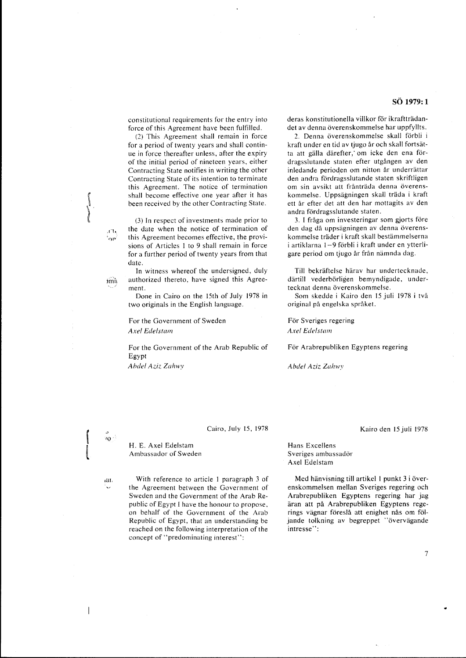constitutional requirements for the entry into force of this Agreement have been fulfilled.

(2) This Agreement shall remain in force for a period of twenty years and shall continue in force thereafter unless, after the expiry of the initial period of nineteen years, either Contracting State notifies in writing the other Contracting State of its intention to terminate this Agreement. The notice of termination shall become effective one year after it has been received by the other Contracting State.

(3) In respect of investments made prior to the date when the notice of termination of this Agreement becomes effective, the provisions of Articles I to 9 shall remain in force for a further period of twenty years from that date.

In witness whereof the undersigned, duly authorized thereto, have signed this Agreement.

Done in Cairo on the 15th of July 1978 in two originals in the English language.

For the Government of Sweden *Axel Edels{alll* 

For the Government of the Arab Republic of Egypt

*Abdel Aziz Zahwy* 

deras konstitutionella villkor för ikraftträdandet av denna överenskommelse har uppfyllts.

2. Denna överenskommelse skall förbli i kraft under en tid av tjugo ar och skall fortsatta att gälla därefter, om icke den ena fördragsslutande staten efter utgangen av den inledande perioden om nitton år underrättar den andra fördragsslutande staten skriftligen om sin avsikt att frånträda denna överenskommelse. Uppsägningen skall träda i kraft ett år efter det att den har mottagits av den andra fördragsslutande staten.

3. I fråga om investeringar som gjorts före den dag da uppsagningen av denna overenskommelse träder i kraft skall bestämmelserna i artiklarna 1-9 forbli i kraft under en ytterligare period om tjugo år från nämnda dag.

Till bekraftelse harav har undertecknade, därtill vederbörligen bemyndigade, undertecknat denna överenskommelse.

Som skedde i Kairo den IS juli 1978 i tva original pa engelska spraket.

För Sveriges regering *Axel Edels{alll* 

For Arabrepubliken Egyptens regering

*Abdel Aziz Zahwy* 

 $70<sup>1</sup>$ 

iat.

 $\overline{\phantom{a}}$ 

**.1 '1,** 

்வா

 $\sin$ 

Cairo, July IS, 1978

H. E. Axel Edelstam Ambassador of Sweden

With reference to article I paragraph 3 of the Agreement between the Government of Sweden and the Government of the Arab Republic of Egypt I have the honour to propose, on behalf of the Government of the Arab Republic of Egypt, that an understanding be reached on the following interpretation of the concept of "predominating interest":

Kairo den IS juli 1978

Hans Excellens Sveriges ambassador Axel Edelstam

Med hänvisning till artikel 1 punkt 3 i överenskommelsen mellan Sveriges regering och Arabrepubliken Egyptens regering har jag äran att på Arabrepubliken Egyptens regerings vägnar föreslå att enighet nås om följande tolkning av begreppet "övervägande intresse":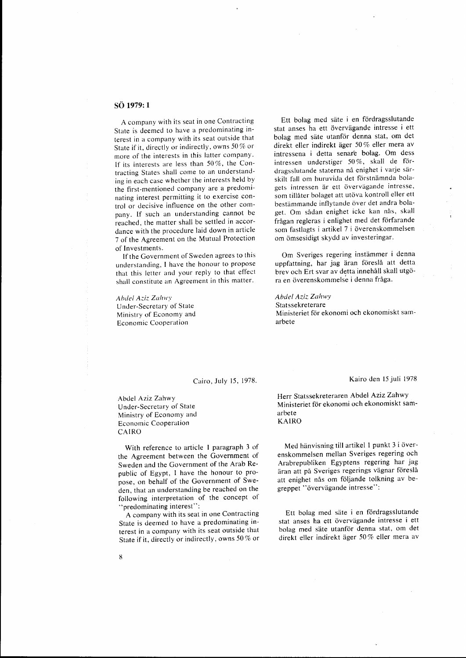A company with its seat in one Contracting State is deemed to have a predominating interest in a company with its seat outside that State if it, directly or indirectly, owns 50 % or more of the interests in this latter company. If its interests are less than 50%, the Contracting States shall come to an understanding in each case whether the interests held by the first-mentioned company are a predominating interest permitting it to exercise control or decisive influence on the other company. If such an understanding cannot be reached, the matter shall be settled in accordance with the procedure laid down in article 7 of the Agreement on the Mutual Protection of Investments.

If the Government of Sweden agrees to this understanding, I have the honour to propose that this letter and your reply to that effect shall constitute an Agreement in this matter.

*Ahdel A.::iz Zahwy*  Under-Secretary of State Ministry of Economy and Economic Cooperation

Ett bolag med sate i en fordragsslutande stat anses ha ett övervägande intresse i ett bolag med säte utanför denna stat, om det direkt eller indirekt ager 50 % eller mera av intressena i detta senar'e bolag. Om dess intressen understiger 50 %, skall de fordragsslutande staterna nå enighet i varie särskilt fall om huruvida det förstnämnda bolagets intressen är ett övervägande intresse, som tillåter bolaget att utöva kontroll eller ett bestämmande inflytande över det andra bolaget. Om sådan enighet icke kan nås, skall fragan regleras i enlighet med det forfarande som fastlagts i artikel 7 i overenskommelsen om omsesidigt skydd av investeringar.

Om Sveriges regering instammer i denna uppfattning, har jag äran föreslå att detta brev och Ert svar av detta innehall skall utgora en överenskommelse i denna fråga.

# *Abelel Azi.:: Zahwy*

Statssekreterare Ministeriet för ekonomi och ekonomiskt samarbete

### Cairo, July 15, 1978.

Kairo den 15 juli 1978

Abdel Aziz Zahwy Under-Secretary of State Ministry of Economy and Economic Cooperation CAIRO

With reference to article I paragraph 3 of the Agreement between the Government of Sweden and the Government of the Arab Republic of Egypt, I have the honour to propose, on behalf of the Government of Sweden, that an understanding be reached on the following interpretation of the concept of "'predominating interest":

A company with its seat in one Contracting State is deemed to have a predominating interest in a company with its seat outside that State if it, directly or indirectly, owns 50 % or Herr Statssekreteraren Abdel Aziz Zahwy Ministeriet för ekonomi och ekonomiskt samarbete KAIRO

Med hänvisning till artikel 1 punkt 3 i överenskommelsen mellan Sveriges regering och Arabrepubliken Egyptens regering har jag äran att på Sveriges regerings vägnar föreslå att enighet nås om följande tolkning av begreppet "övervägande intresse":

Ett bolag med säte i en fördragsslutande stat anses ha ett övervägande intresse i ett bolag med säte utanför denna stat, om det direkt eller indirekt ager 50 % eller mera av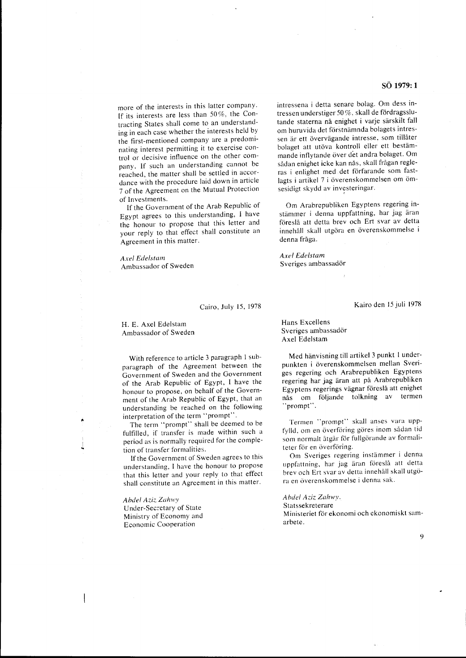more of the interests in this latter company. If its interests are less than 50 %, the Contracting States shall come to an understanding in each case whether the interests held by the first-mentioned company are a predominating interest permitting it to exercise control or decisive influence on the other company. If such an understanding cannot be reached, the matter shall be settled in accordance with the procedure laid down in article 7 of the Agreement on the Mutual Protection of Investments.

If the Government of the Arab Republic of Egypt agrees to this understanding, I have the honour to propose that this letter and your reply to that effect shall constitute an Agreement in this matter.

#### *Axe! Ede!stam*

Ambassador of Sweden

#### Cairo, July 15, 1978

H. E. Axel Edelstam Ambassador of Sweden

With reference to article 3 paragraph I subparagraph of the Agreement between the Government of Sweden and the Government of the Arab Republic of Egypt, I have the honour to propose, on behalf of the Government of the Arab Republic of Egypt, that an understanding be reached on the following interpretation of the term "prompt".

The term "prompt" shall be deemed to be fulfilled, if transfer is made within such a period as is normally required for the completion of transfer formalities.

If the Government of Sweden agrees to this understanding, I have the honour to propose that this letter and your reply to that effect shall constitute an Agreement in this matter.

**Abdel Aziz Zahwy** 

Under-Secretary of State Ministry of Economy and Economic Cooperation

intressena i detta senare bolag. Om dess intressen understiger 50 %, skall de fördragsslutande staterna nå enighet i varje särskilt fall om huruvida det förstnämnda bolagets intressen ar ett overvagande intresse, som tillater bolaget att utöva kontroll eller ett bestämmande inflytande över det andra bolaget. Om sådan enighet icke kan nås, skall frågan regleras i enlighet med det förfarande som fastlagts i artikel 7 i överenskommelsen om ömsesidigt skydd av investeringar.

Om Arabrepubliken Egyptens regering instämmer i denna uppfattning, har jag äran foresla att detta brev och Ert svar av detta innehåll skall utgöra en överenskommelse i denna fråga.

*Axe! Edelstam*  Sveriges ambassador

Kairo den 15 juli 1978

Hans Excellens Sveriges ambassador Axel Edelstam

Med hanvisning till artikel 3 punkt I underpunkten i överenskommelsen mellan Sveriges regering och Arabrepubliken Egyptens regering har jag aran att pa Arabrepubliken Egyptens regerings vägnar föreslå att enighet nås om följande tolkning av termen "prompt".

Termen "prompt" skall anses vara uppfylld, om en överföring göres inom sådan tid som normalt åtgår för fullgörande av formaliteter för en överföring.

Om Sveriges regering instammer i denna uppfattning, har jag äran föreslå att detta brev och Ert svar av detta innehåll skall utgöra en överenskommelse i denna sak.

*Ahdel Adz Zahwy.* 

Statssekreterare

Ministeriet för ekonomi och ekonomiskt samarbete.